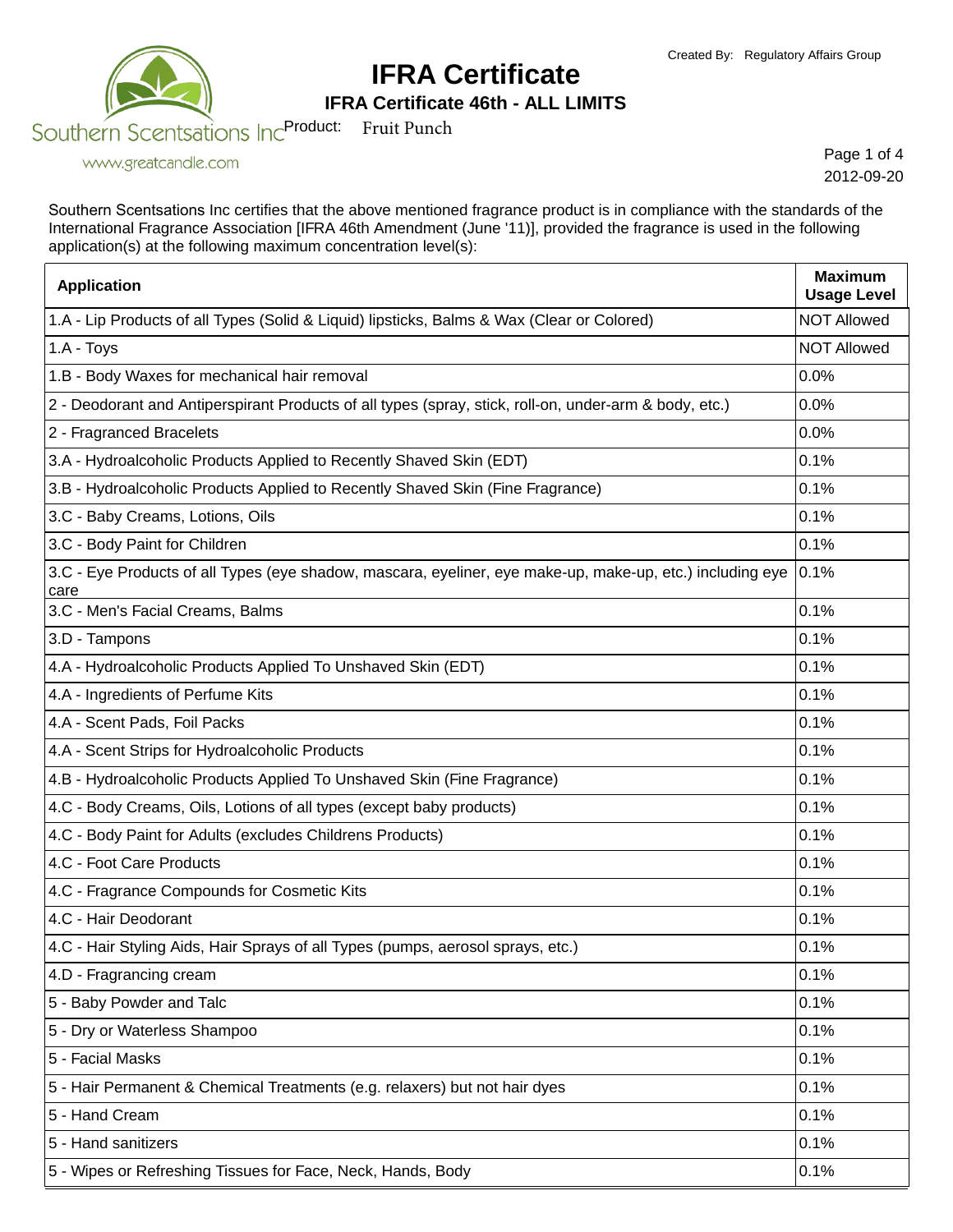

### **IFRA Certificate 46th - ALL LIMITS**

www.greatcandle.com

Page 1 of 4 2012-09-20

Southern Scentsations Inc certifies that the above mentioned fragrance product is in compliance with the standards of the International Fragrance Association [IFRA 46th Amendment (June '11)], provided the fragrance is used in the following application(s) at the following maximum concentration level(s):

| <b>Application</b>                                                                                                | <b>Maximum</b><br><b>Usage Level</b> |
|-------------------------------------------------------------------------------------------------------------------|--------------------------------------|
| 1.A - Lip Products of all Types (Solid & Liquid) lipsticks, Balms & Wax (Clear or Colored)                        | <b>NOT Allowed</b>                   |
| 1.A - Toys                                                                                                        | <b>NOT Allowed</b>                   |
| 1.B - Body Waxes for mechanical hair removal                                                                      | 0.0%                                 |
| 2 - Deodorant and Antiperspirant Products of all types (spray, stick, roll-on, under-arm & body, etc.)            | 0.0%                                 |
| 2 - Fragranced Bracelets                                                                                          | 0.0%                                 |
| 3.A - Hydroalcoholic Products Applied to Recently Shaved Skin (EDT)                                               | 0.1%                                 |
| 3.B - Hydroalcoholic Products Applied to Recently Shaved Skin (Fine Fragrance)                                    | 0.1%                                 |
| 3.C - Baby Creams, Lotions, Oils                                                                                  | 0.1%                                 |
| 3.C - Body Paint for Children                                                                                     | 0.1%                                 |
| 3.C - Eye Products of all Types (eye shadow, mascara, eyeliner, eye make-up, make-up, etc.) including eye<br>care | 0.1%                                 |
| 3.C - Men's Facial Creams, Balms                                                                                  | 0.1%                                 |
| 3.D - Tampons                                                                                                     | 0.1%                                 |
| 4.A - Hydroalcoholic Products Applied To Unshaved Skin (EDT)                                                      | 0.1%                                 |
| 4.A - Ingredients of Perfume Kits                                                                                 | 0.1%                                 |
| 4.A - Scent Pads, Foil Packs                                                                                      | 0.1%                                 |
| 4.A - Scent Strips for Hydroalcoholic Products                                                                    | 0.1%                                 |
| 4.B - Hydroalcoholic Products Applied To Unshaved Skin (Fine Fragrance)                                           | 0.1%                                 |
| 4.C - Body Creams, Oils, Lotions of all types (except baby products)                                              | 0.1%                                 |
| 4.C - Body Paint for Adults (excludes Childrens Products)                                                         | 0.1%                                 |
| 4.C - Foot Care Products                                                                                          | 0.1%                                 |
| 4.C - Fragrance Compounds for Cosmetic Kits                                                                       | 0.1%                                 |
| 4.C - Hair Deodorant                                                                                              | 0.1%                                 |
| 4.C - Hair Styling Aids, Hair Sprays of all Types (pumps, aerosol sprays, etc.)                                   | 0.1%                                 |
| 4.D - Fragrancing cream                                                                                           | 0.1%                                 |
| 5 - Baby Powder and Talc                                                                                          | 0.1%                                 |
| 5 - Dry or Waterless Shampoo                                                                                      | 0.1%                                 |
| 5 - Facial Masks                                                                                                  | 0.1%                                 |
| 5 - Hair Permanent & Chemical Treatments (e.g. relaxers) but not hair dyes                                        | 0.1%                                 |
| 5 - Hand Cream                                                                                                    | 0.1%                                 |
| 5 - Hand sanitizers                                                                                               | 0.1%                                 |
| 5 - Wipes or Refreshing Tissues for Face, Neck, Hands, Body                                                       | 0.1%                                 |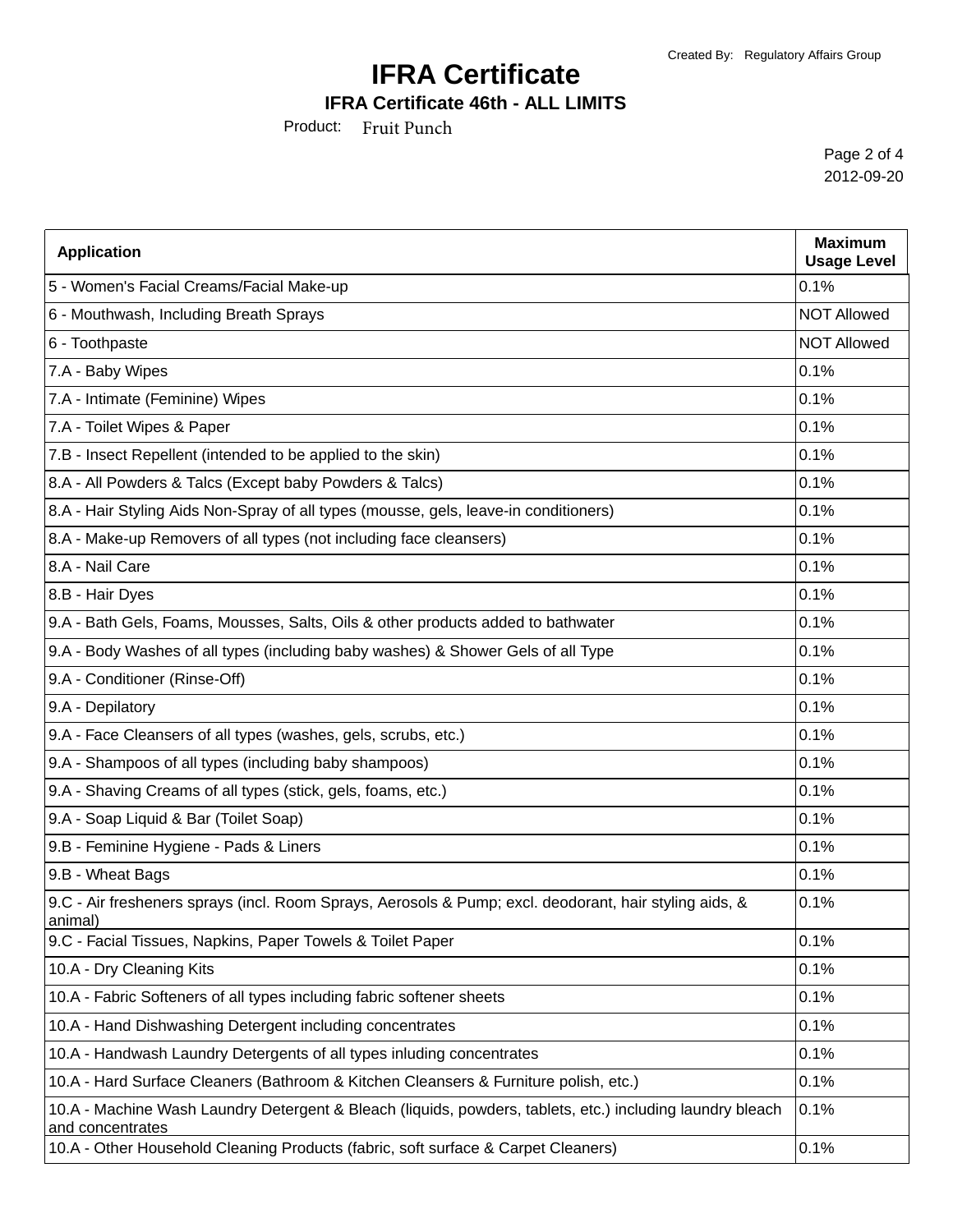### **IFRA Certificate 46th - ALL LIMITS**

Product: Fruit Punch

Page 2 of 4 2012-09-20

| <b>Application</b>                                                                                                            | <b>Maximum</b><br><b>Usage Level</b> |
|-------------------------------------------------------------------------------------------------------------------------------|--------------------------------------|
| 5 - Women's Facial Creams/Facial Make-up                                                                                      | 0.1%                                 |
| 6 - Mouthwash, Including Breath Sprays                                                                                        | <b>NOT Allowed</b>                   |
| 6 - Toothpaste                                                                                                                | <b>NOT Allowed</b>                   |
| 7.A - Baby Wipes                                                                                                              | 0.1%                                 |
| 7.A - Intimate (Feminine) Wipes                                                                                               | 0.1%                                 |
| 7.A - Toilet Wipes & Paper                                                                                                    | 0.1%                                 |
| 7.B - Insect Repellent (intended to be applied to the skin)                                                                   | 0.1%                                 |
| 8.A - All Powders & Talcs (Except baby Powders & Talcs)                                                                       | 0.1%                                 |
| 8.A - Hair Styling Aids Non-Spray of all types (mousse, gels, leave-in conditioners)                                          | 0.1%                                 |
| 8.A - Make-up Removers of all types (not including face cleansers)                                                            | 0.1%                                 |
| 8.A - Nail Care                                                                                                               | 0.1%                                 |
| 8.B - Hair Dyes                                                                                                               | 0.1%                                 |
| 9.A - Bath Gels, Foams, Mousses, Salts, Oils & other products added to bathwater                                              | 0.1%                                 |
| 9.A - Body Washes of all types (including baby washes) & Shower Gels of all Type                                              | 0.1%                                 |
| 9.A - Conditioner (Rinse-Off)                                                                                                 | 0.1%                                 |
| 9.A - Depilatory                                                                                                              | 0.1%                                 |
| 9.A - Face Cleansers of all types (washes, gels, scrubs, etc.)                                                                | 0.1%                                 |
| 9.A - Shampoos of all types (including baby shampoos)                                                                         | 0.1%                                 |
| 9.A - Shaving Creams of all types (stick, gels, foams, etc.)                                                                  | 0.1%                                 |
| 9.A - Soap Liquid & Bar (Toilet Soap)                                                                                         | 0.1%                                 |
| 9.B - Feminine Hygiene - Pads & Liners                                                                                        | 0.1%                                 |
| 9.B - Wheat Bags                                                                                                              | 0.1%                                 |
| 9.C - Air fresheners sprays (incl. Room Sprays, Aerosols & Pump; excl. deodorant, hair styling aids, &<br>animal)             | 0.1%                                 |
| 9.C - Facial Tissues, Napkins, Paper Towels & Toilet Paper                                                                    | 0.1%                                 |
| 10.A - Dry Cleaning Kits                                                                                                      | 0.1%                                 |
| 10.A - Fabric Softeners of all types including fabric softener sheets                                                         | 0.1%                                 |
| 10.A - Hand Dishwashing Detergent including concentrates                                                                      | 0.1%                                 |
| 10.A - Handwash Laundry Detergents of all types inluding concentrates                                                         | 0.1%                                 |
| 10.A - Hard Surface Cleaners (Bathroom & Kitchen Cleansers & Furniture polish, etc.)                                          | 0.1%                                 |
| 10.A - Machine Wash Laundry Detergent & Bleach (liquids, powders, tablets, etc.) including laundry bleach<br>and concentrates | 0.1%                                 |
| 10.A - Other Household Cleaning Products (fabric, soft surface & Carpet Cleaners)                                             | 0.1%                                 |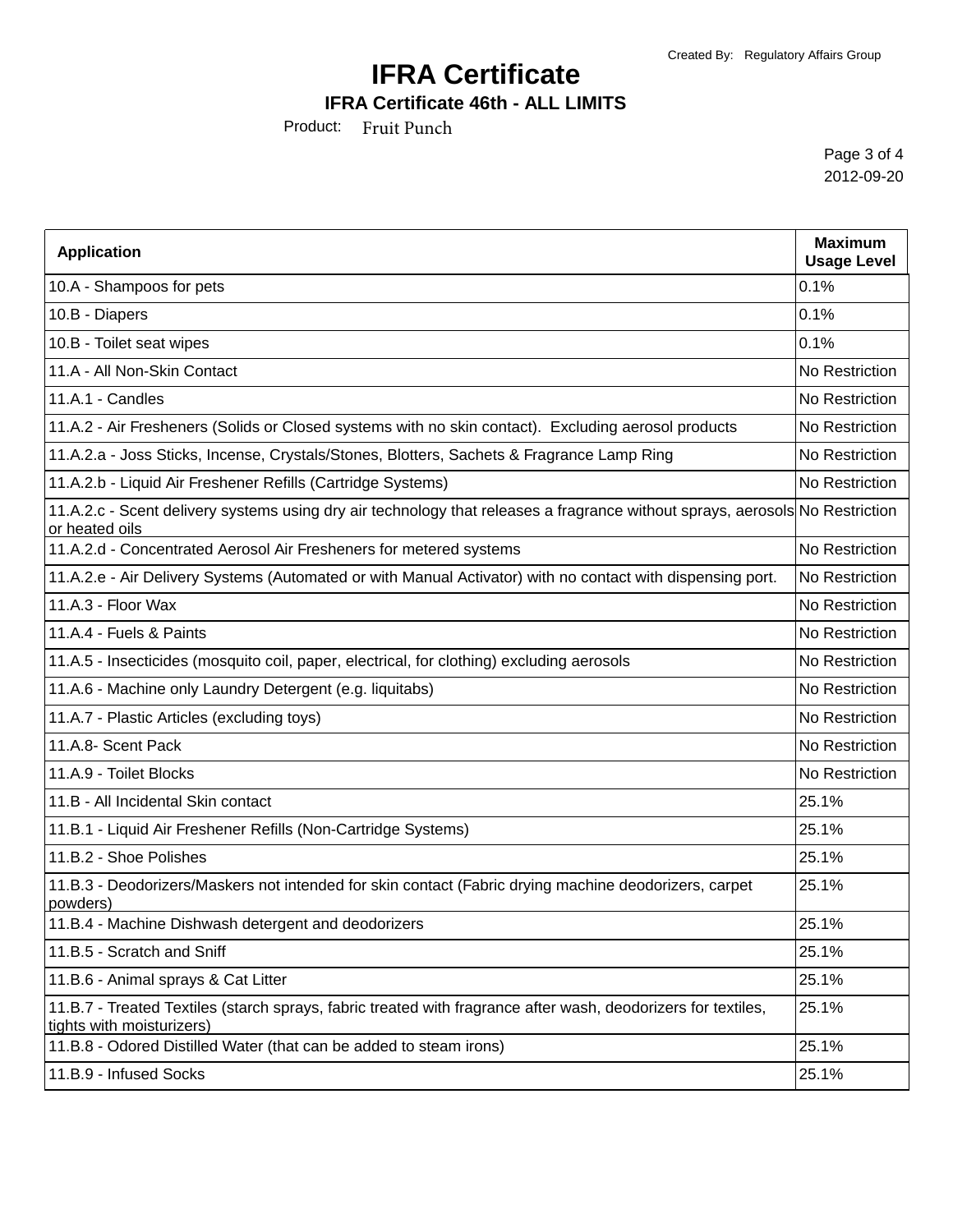### **IFRA Certificate 46th - ALL LIMITS**

Product: Fruit Punch

Page 3 of 4 2012-09-20

| <b>Application</b>                                                                                                                             | <b>Maximum</b><br><b>Usage Level</b> |
|------------------------------------------------------------------------------------------------------------------------------------------------|--------------------------------------|
| 10.A - Shampoos for pets                                                                                                                       | 0.1%                                 |
| 10.B - Diapers                                                                                                                                 | 0.1%                                 |
| 10.B - Toilet seat wipes                                                                                                                       | 0.1%                                 |
| 11.A - All Non-Skin Contact                                                                                                                    | No Restriction                       |
| 11.A.1 - Candles                                                                                                                               | No Restriction                       |
| 11.A.2 - Air Fresheners (Solids or Closed systems with no skin contact). Excluding aerosol products                                            | No Restriction                       |
| 11.A.2.a - Joss Sticks, Incense, Crystals/Stones, Blotters, Sachets & Fragrance Lamp Ring                                                      | No Restriction                       |
| 11.A.2.b - Liquid Air Freshener Refills (Cartridge Systems)                                                                                    | No Restriction                       |
| 11.A.2.c - Scent delivery systems using dry air technology that releases a fragrance without sprays, aerosols No Restriction<br>or heated oils |                                      |
| 11.A.2.d - Concentrated Aerosol Air Fresheners for metered systems                                                                             | No Restriction                       |
| 11.A.2.e - Air Delivery Systems (Automated or with Manual Activator) with no contact with dispensing port.                                     | No Restriction                       |
| 11.A.3 - Floor Wax                                                                                                                             | No Restriction                       |
| 11.A.4 - Fuels & Paints                                                                                                                        | No Restriction                       |
| 11.A.5 - Insecticides (mosquito coil, paper, electrical, for clothing) excluding aerosols                                                      | No Restriction                       |
| 11.A.6 - Machine only Laundry Detergent (e.g. liquitabs)                                                                                       | No Restriction                       |
| 11.A.7 - Plastic Articles (excluding toys)                                                                                                     | No Restriction                       |
| 11.A.8- Scent Pack                                                                                                                             | No Restriction                       |
| 11.A.9 - Toilet Blocks                                                                                                                         | No Restriction                       |
| 11.B - All Incidental Skin contact                                                                                                             | 25.1%                                |
| 11.B.1 - Liquid Air Freshener Refills (Non-Cartridge Systems)                                                                                  | 25.1%                                |
| 11.B.2 - Shoe Polishes                                                                                                                         | 25.1%                                |
| 11.B.3 - Deodorizers/Maskers not intended for skin contact (Fabric drying machine deodorizers, carpet<br>powders)                              | 25.1%                                |
| 11.B.4 - Machine Dishwash detergent and deodorizers                                                                                            | 25.1%                                |
| 11.B.5 - Scratch and Sniff                                                                                                                     | 25.1%                                |
| 11.B.6 - Animal sprays & Cat Litter                                                                                                            | 25.1%                                |
| 11.B.7 - Treated Textiles (starch sprays, fabric treated with fragrance after wash, deodorizers for textiles,<br>tights with moisturizers)     | 25.1%                                |
| 11.B.8 - Odored Distilled Water (that can be added to steam irons)                                                                             | 25.1%                                |
| 11.B.9 - Infused Socks                                                                                                                         | 25.1%                                |